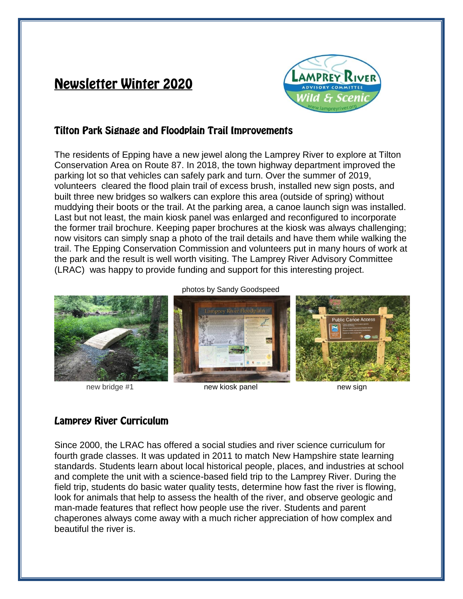# **Newsletter Winter 2020**



#### **Tilton Park Signage and Floodplain Trail Improvements**

The residents of Epping have a new jewel along the Lamprey River to explore at Tilton Conservation Area on Route 87. In 2018, the town highway department improved the parking lot so that vehicles can safely park and turn. Over the summer of 2019, volunteers cleared the flood plain trail of excess brush, installed new sign posts, and built three new bridges so walkers can explore this area (outside of spring) without muddying their boots or the trail. At the parking area, a canoe launch sign was installed. Last but not least, the main kiosk panel was enlarged and reconfigured to incorporate the former trail brochure. Keeping paper brochures at the kiosk was always challenging; now visitors can simply snap a photo of the trail details and have them while walking the trail. The Epping Conservation Commission and volunteers put in many hours of work at the park and the result is well worth visiting. The Lamprey River Advisory Committee (LRAC) was happy to provide funding and support for this interesting project.



new bridge #1 new kiosk panel new sign

# **Lamprey River Curriculum**

Since 2000, the LRAC has offered a social studies and river science curriculum for fourth grade classes. It was updated in 2011 to match New Hampshire state learning standards. Students learn about local historical people, places, and industries at school and complete the unit with a science-based field trip to the Lamprey River. During the field trip, students do basic water quality tests, determine how fast the river is flowing, look for animals that help to assess the health of the river, and observe geologic and man-made features that reflect how people use the river. Students and parent chaperones always come away with a much richer appreciation of how complex and beautiful the river is.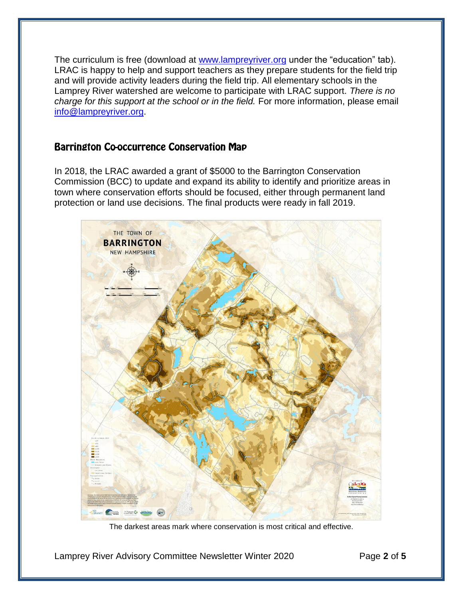The curriculum is free (download at [www.lampreyriver.org](http://www.lampreyriver.org/) under the "education" tab). LRAC is happy to help and support teachers as they prepare students for the field trip and will provide activity leaders during the field trip. All elementary schools in the Lamprey River watershed are welcome to participate with LRAC support. *There is no charge for this support at the school or in the field.* For more information, please email [info@lampreyriver.org.](mailto:info@lampreyriver.org)

## **Barrington Co-occurrence Conservation Map**

In 2018, the LRAC awarded a grant of \$5000 to the Barrington Conservation Commission (BCC) to update and expand its ability to identify and prioritize areas in town where conservation efforts should be focused, either through permanent land protection or land use decisions. The final products were ready in fall 2019.



The darkest areas mark where conservation is most critical and effective.

Lamprey River Advisory Committee Newsletter Winter 2020 Page **2** of **5**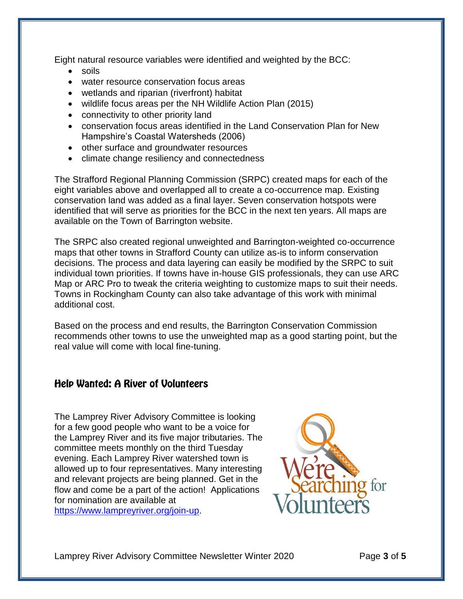Eight natural resource variables were identified and weighted by the BCC:

- soils
- water resource conservation focus areas
- wetlands and riparian (riverfront) habitat
- wildlife focus areas per the NH Wildlife Action Plan (2015)
- connectivity to other priority land
- conservation focus areas identified in the Land Conservation Plan for New Hampshire's Coastal Watersheds (2006)
- other surface and groundwater resources
- climate change resiliency and connectedness

The Strafford Regional Planning Commission (SRPC) created maps for each of the eight variables above and overlapped all to create a co-occurrence map. Existing conservation land was added as a final layer. Seven conservation hotspots were identified that will serve as priorities for the BCC in the next ten years. All maps are available on the Town of Barrington website.

The SRPC also created regional unweighted and Barrington-weighted co-occurrence maps that other towns in Strafford County can utilize as-is to inform conservation decisions. The process and data layering can easily be modified by the SRPC to suit individual town priorities. If towns have in-house GIS professionals, they can use ARC Map or ARC Pro to tweak the criteria weighting to customize maps to suit their needs. Towns in Rockingham County can also take advantage of this work with minimal additional cost.

Based on the process and end results, the Barrington Conservation Commission recommends other towns to use the unweighted map as a good starting point, but the real value will come with local fine-tuning.

#### **Help Wanted: A River of Volunteers**

The Lamprey River Advisory Committee is looking for a few good people who want to be a voice for the Lamprey River and its five major tributaries. The committee meets monthly on the third Tuesday evening. Each Lamprey River watershed town is allowed up to four representatives. Many interesting and relevant projects are being planned. Get in the flow and come be a part of the action! Applications for nomination are available at [https://www.lampreyriver.org/join-up.](https://www.lampreyriver.org/join-up)



Lamprey River Advisory Committee Newsletter Winter 2020 Page **3** of **5**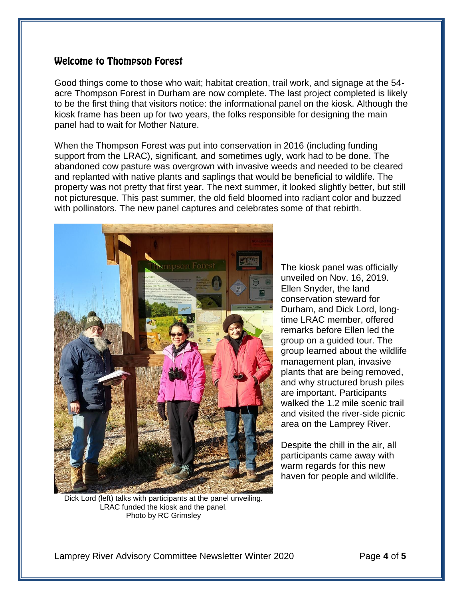#### **Welcome to Thompson Forest**

Good things come to those who wait; habitat creation, trail work, and signage at the 54 acre Thompson Forest in Durham are now complete. The last project completed is likely to be the first thing that visitors notice: the informational panel on the kiosk. Although the kiosk frame has been up for two years, the folks responsible for designing the main panel had to wait for Mother Nature.

When the Thompson Forest was put into conservation in 2016 (including funding support from the LRAC), significant, and sometimes ugly, work had to be done. The abandoned cow pasture was overgrown with invasive weeds and needed to be cleared and replanted with native plants and saplings that would be beneficial to wildlife. The property was not pretty that first year. The next summer, it looked slightly better, but still not picturesque. This past summer, the old field bloomed into radiant color and buzzed with pollinators. The new panel captures and celebrates some of that rebirth.



Dick Lord (left) talks with participants at the panel unveiling. LRAC funded the kiosk and the panel. Photo by RC Grimsley

The kiosk panel was officially unveiled on Nov. 16, 2019. Ellen Snyder, the land conservation steward for Durham, and Dick Lord, longtime LRAC member, offered remarks before Ellen led the group on a guided tour. The group learned about the wildlife management plan, invasive plants that are being removed, and why structured brush piles are important. Participants walked the 1.2 mile scenic trail and visited the river-side picnic area on the Lamprey River.

Despite the chill in the air, all participants came away with warm regards for this new haven for people and wildlife.